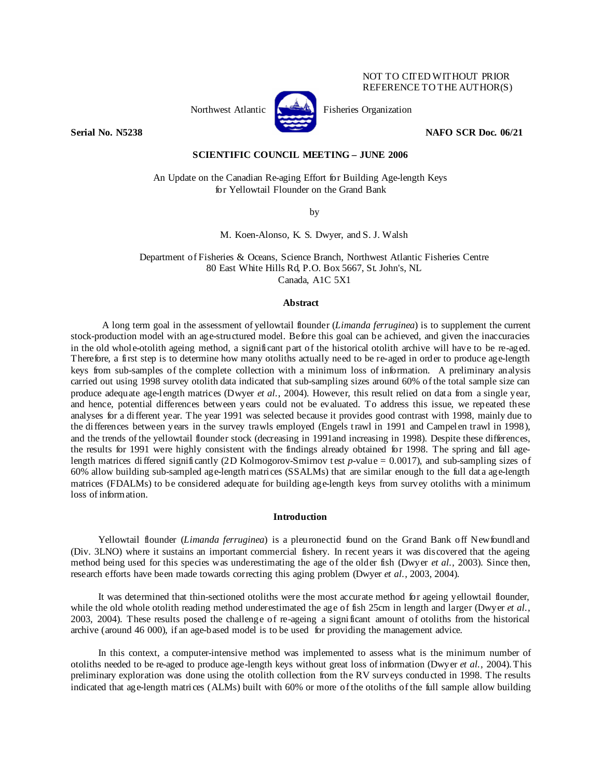# NOT TO CITED WITHOUT PRIOR REFERENCE TO THE AUTHOR(S)



**Serial No. N5238 NAFO SCR Doc. 06/21** 

## **SCIENTIFIC COUNCIL MEETING – JUNE 2006**

An Update on the Canadian Re-aging Effort for Building Age-length Keys for Yellowtail Flounder on the Grand Bank

by

M. Koen-Alonso, K. S. Dwyer, and S. J. Walsh

Department of Fisheries & Oceans, Science Branch, Northwest Atlantic Fisheries Centre 80 East White Hills Rd, P.O. Box 5667, St. John's, NL Canada, A1C 5X1

### **Abstract**

A long term goal in the assessment of yellowtail flounder (*Limanda ferruginea*) is to supplement the current stock-production model with an age-structured model. Before this goal can be achieved, and given the inaccuracies in the old whole-otolith ageing method, a significant part of the historical otolith archive will have to be re-aged. Therefore, a first step is to determine how many otoliths actually need to be re-aged in order to produce age-length keys from sub-samples of the complete collection with a minimum loss of information. A preliminary analysis carried out using 1998 survey otolith data indicated that sub-sampling sizes around 60% of the total sample size can produce adequate age-length matrices (Dwyer *et al.*, 2004). However, this result relied on data from a single year, and hence, potential differences between years could not be evaluated. To address this issue, we repeated these analyses for a different year. The year 1991 was selected because it provides good contrast with 1998, mainly due to the differences between years in the survey trawls employed (Engels trawl in 1991 and Campelen trawl in 1998), and the trends of the yellowtail flounder stock (decreasing in 1991and increasing in 1998). Despite these differences, the results for 1991 were highly consistent with the findings already obtained for 1998. The spring and fall agelength matrices differed significantly (2D Kolmogorov-Smirnov test *p*-value = 0.0017), and sub-sampling sizes of 60% allow building sub-sampled age-length matrices (SSALMs) that are similar enough to the full data age-length matrices (FDALMs) to be considered adequate for building age-length keys from survey otoliths with a minimum loss of information.

## **Introduction**

Yellowtail flounder (*Limanda ferruginea*) is a pleuronectid found on the Grand Bank off Newfoundland (Div. 3LNO) where it sustains an important commercial fishery. In recent years it was discovered that the ageing method being used for this species was underestimating the age of the older fish (Dwyer *et al.*, 2003). Since then, research efforts have been made towards correcting this aging problem (Dwyer *et al.*, 2003, 2004).

It was determined that thin-sectioned otoliths were the most accurate method for ageing yellowtail flounder, while the old whole otolith reading method underestimated the age of fish 25cm in length and larger (Dwyer *et al.*, 2003, 2004). These results posed the challenge of re-ageing a significant amount of otoliths from the historical archive (around 46 000), if an age-based model is to be used for providing the management advice.

In this context, a computer-intensive method was implemented to assess what is the minimum number of otoliths needed to be re-aged to produce age-length keys without great loss of information (Dwyer *et al.*, 2004). This preliminary exploration was done using the otolith collection from the RV surveys conducted in 1998. The results indicated that age-length matrices (ALMs) built with 60% or more of the otoliths of the full sample allow building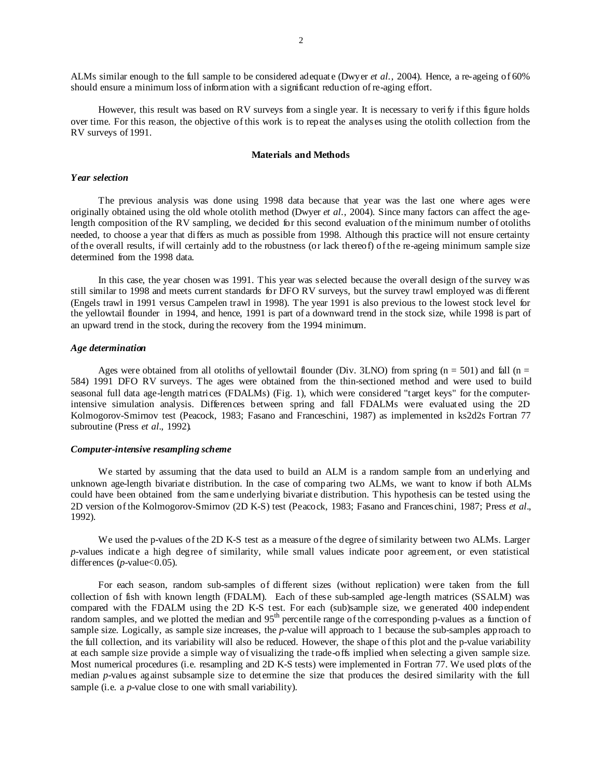ALMs similar enough to the full sample to be considered adequate (Dwyer *et al.*, 2004). Hence, a re-ageing of 60% should ensure a minimum loss of information with a significant reduction of re-aging effort.

However, this result was based on RV surveys from a single year. It is necessary to verify if this figure holds over time. For this reason, the objective of this work is to repeat the analyses using the otolith collection from the RV surveys of 1991.

### **Materials and Methods**

# *Year selection*

The previous analysis was done using 1998 data because that year was the last one where ages were originally obtained using the old whole otolith method (Dwyer *et al*., 2004). Since many factors can affect the agelength composition of the RV sampling, we decided for this second evaluation of the minimum number of otoliths needed, to choose a year that differs as much as possible from 1998. Although this practice will not ensure certainty of the overall results, if will certainly add to the robustness (or lack thereof) of the re-ageing minimum sample size determined from the 1998 data.

In this case, the year chosen was 1991. This year was selected because the overall design of the survey was still similar to 1998 and meets current standards for DFO RV surveys, but the survey trawl employed was different (Engels trawl in 1991 versus Campelen trawl in 1998). The year 1991 is also previous to the lowest stock level for the yellowtail flounder in 1994, and hence, 1991 is part of a downward trend in the stock size, while 1998 is part of an upward trend in the stock, during the recovery from the 1994 minimum.

### *Age determination*

Ages were obtained from all otoliths of yellowtail flounder (Div. 3LNO) from spring ( $n = 501$ ) and fall ( $n =$ 584) 1991 DFO RV surveys. The ages were obtained from the thin-sectioned method and were used to build seasonal full data age-length matrices (FDALMs) (Fig. 1), which were considered "target keys" for the computerintensive simulation analysis. Differences between spring and fall FDALMs were evaluated using the 2D Kolmogorov-Smirnov test (Peacock, 1983; Fasano and Franceschini, 1987) as implemented in ks2d2s Fortran 77 subroutine (Press *et al.*, 1992).

### *Computer-intensive resampling scheme*

We started by assuming that the data used to build an ALM is a random sample from an underlying and unknown age-length bivariate distribution. In the case of comparing two ALMs, we want to know if both ALMs could have been obtained from the same underlying bivariate distribution. This hypothesis can be tested using the 2D version of the Kolmogorov-Smirnov (2D K-S) test (Peacock, 1983; Fasano and Franceschini, 1987; Press *et al*., 1992).

We used the p-values of the 2D K-S test as a measure of the degree of similarity between two ALMs. Larger *p*-values indicate a high degree of similarity, while small values indicate poor agreement, or even statistical differences (*p*-value<0.05).

For each season, random sub-samples of different sizes (without replication) were taken from the full collection of fish with known length (FDALM). Each of these sub-sampled age-length matrices (SSALM) was compared with the FDALM using the 2D K-S test. For each (sub)sample size, we generated 400 independent random samples, and we plotted the median and 95<sup>th</sup> percentile range of the corresponding p-values as a function of sample size. Logically, as sample size increases, the *p*-value will approach to 1 because the sub-samples approach to the full collection, and its variability will also be reduced. However, the shape of this plot and the p-value variability at each sample size provide a simple way of visualizing the trade-offs implied when selecting a given sample size. Most numerical procedures (i.e. resampling and 2D K-S tests) were implemented in Fortran 77. We used plots of the median *p*-values against subsample size to determine the size that produces the desired similarity with the full sample (i.e. a *p*-value close to one with small variability).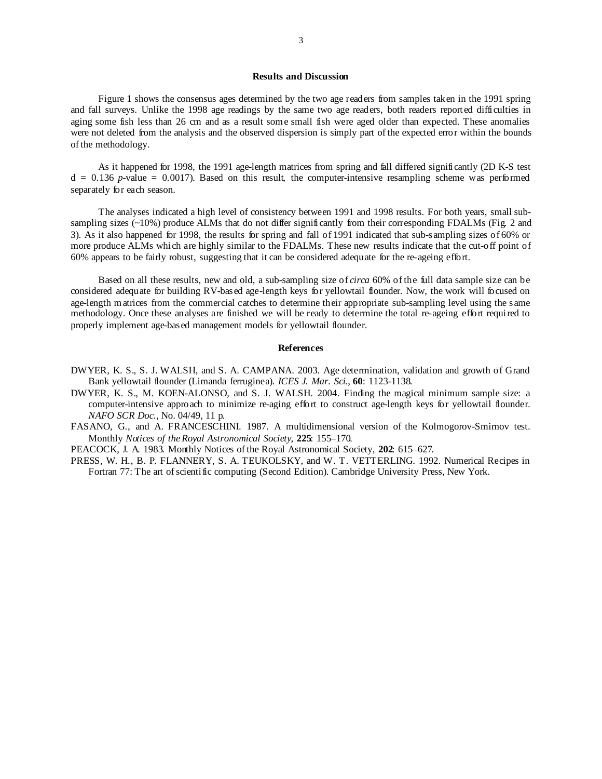# **Results and Discussion**

Figure 1 shows the consensus ages determined by the two age readers from samples taken in the 1991 spring and fall surveys. Unlike the 1998 age readings by the same two age readers, both readers reported difficulties in aging some fish less than 26 cm and as a result some small fish were aged older than expected. These anomalies were not deleted from the analysis and the observed dispersion is simply part of the expected error within the bounds of the methodology.

As it happened for 1998, the 1991 age-length matrices from spring and fall differed significantly (2D K-S test  $d = 0.136$  *p*-value = 0.0017). Based on this result, the computer-intensive resampling scheme was performed separately for each season.

The analyses indicated a high level of consistency between 1991 and 1998 results. For both years, small subsampling sizes  $(\sim10\%)$  produce ALMs that do not differ significantly from their corresponding FDALMs (Fig. 2 and 3). As it also happened for 1998, the results for spring and fall of 1991 indicated that sub-sampling sizes of 60% or more produce ALMs which are highly similar to the FDALMs. These new results indicate that the cut-off point of 60% appears to be fairly robust, suggesting that it can be considered adequate for the re-ageing effort.

Based on all these results, new and old, a sub-sampling size of *circa* 60% of the full data sample size can be considered adequate for building RV-based age-length keys for yellowtail flounder. Now, the work will focused on age-length matrices from the commercial catches to determine their appropriate sub-sampling level using the same methodology. Once these analyses are finished we will be ready to determine the total re-ageing effort required to properly implement age-based management models for yellowtail flounder.

#### **References**

- DWYER, K. S., S. J. WALSH, and S. A. CAMPANA. 2003. Age determination, validation and growth of Grand Bank yellowtail flounder (Limanda ferruginea). *ICES J. Mar. Sci*., **60**: 1123-1138.
- DWYER, K. S., M. KOEN-ALONSO, and S. J. WALSH. 2004. Finding the magical minimum sample size: a computer-intensive approach to minimize re-aging effort to construct age-length keys for yellowtail flounder. *NAFO SCR Doc*., No. 04/49, 11 p.
- FASANO, G., and A. FRANCESCHINI. 1987. A multidimensional version of the Kolmogorov-Smirnov test. Monthly *Notices of the Royal Astronomical Society*, **225**: 155–170.

PEACOCK, J. A. 1983. Monthly Notices of the Royal Astronomical Society, **202**: 615–627.

PRESS, W. H., B. P. FLANNERY, S. A. TEUKOLSKY, and W. T. VETTERLING. 1992. Numerical Recipes in Fortran 77: The art of scientific computing (Second Edition). Cambridge University Press, New York.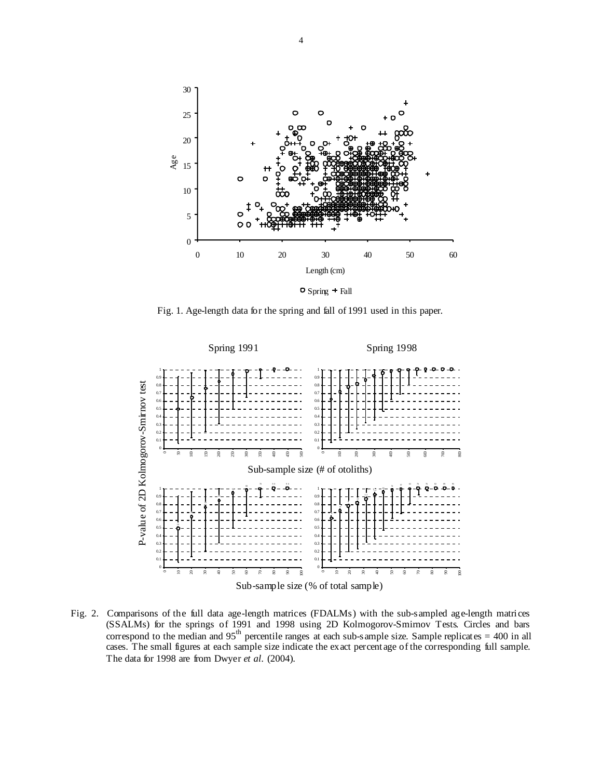

Fig. 1. Age-length data for the spring and fall of 1991 used in this paper.



Fig. 2. Comparisons of the full data age-length matrices (FDALMs) with the sub-sampled age-length matrices (SSALMs) for the springs of 1991 and 1998 using 2D Kolmogorov-Smirnov Tests. Circles and bars correspond to the median and  $95<sup>th</sup>$  percentile ranges at each sub-sample size. Sample replicates = 400 in all cases. The small figures at each sample size indicate the exact percentage of the corresponding full sample. The data for 1998 are from Dwyer *et al.* (2004).